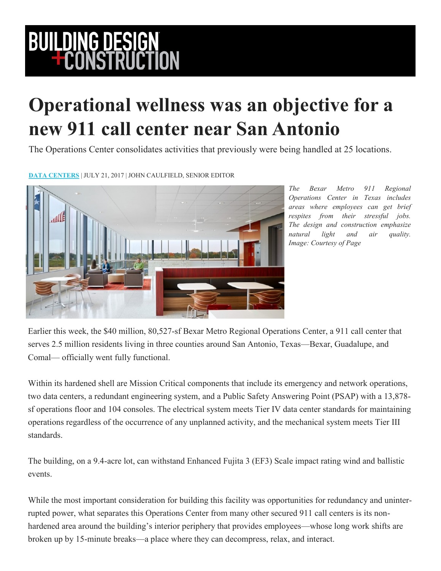## **BUILDING DESIGN<br>FCONSTRUCTION**

## **Operational wellness was an objective for a new 911 call center near San Antonio**

The Operations Center consolidates activities that previously were being handled at 25 locations.

**[DATA CENTERS](https://www.bdcnetwork.com/data-centers)** | JULY 21, 2017 | JOHN CAULFIELD, SENIOR EDITOR



*The Bexar Metro 911 Regional Operations Center in Texas includes areas where employees can get brief respites from their stressful jobs. The design and construction emphasize natural light and air quality. Image: Courtesy of Page*

Earlier this week, the \$40 million, 80,527-sf Bexar Metro Regional Operations Center, a 911 call center that serves 2.5 million residents living in three counties around San Antonio, Texas—Bexar, Guadalupe, and Comal— officially went fully functional.

Within its hardened shell are Mission Critical components that include its emergency and network operations, two data centers, a redundant engineering system, and a Public Safety Answering Point (PSAP) with a 13,878 sf operations floor and 104 consoles. The electrical system meets Tier IV data center standards for maintaining operations regardless of the occurrence of any unplanned activity, and the mechanical system meets Tier III standards.

The building, on a 9.4-acre lot, can withstand Enhanced Fujita 3 (EF3) Scale impact rating wind and ballistic events.

While the most important consideration for building this facility was opportunities for redundancy and uninterrupted power, what separates this Operations Center from many other secured 911 call centers is its nonhardened area around the building's interior periphery that provides employees—whose long work shifts are broken up by 15-minute breaks—a place where they can decompress, relax, and interact.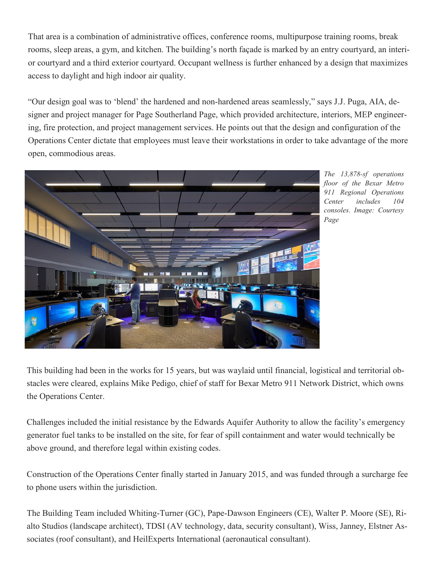That area is a combination of administrative offices, conference rooms, multipurpose training rooms, break rooms, sleep areas, a gym, and kitchen. The building's north façade is marked by an entry courtyard, an interior courtyard and a third exterior courtyard. Occupant wellness is further enhanced by a design that maximizes access to daylight and high indoor air quality.

"Our design goal was to 'blend' the hardened and non-hardened areas seamlessly," says J.J. Puga, AIA, designer and project manager for Page Southerland Page, which provided architecture, interiors, MEP engineering, fire protection, and project management services. He points out that the design and configuration of the Operations Center dictate that employees must leave their workstations in order to take advantage of the more open, commodious areas.



*The 13,878-sf operations floor of the Bexar Metro 911 Regional Operations Center includes 104 consoles. Image: Courtesy Page*

This building had been in the works for 15 years, but was waylaid until financial, logistical and territorial obstacles were cleared, explains Mike Pedigo, chief of staff for Bexar Metro 911 Network District, which owns the Operations Center.

Challenges included the initial resistance by the Edwards Aquifer Authority to allow the facility's emergency generator fuel tanks to be installed on the site, for fear of spill containment and water would technically be above ground, and therefore legal within existing codes.

Construction of the Operations Center finally started in January 2015, and was funded through a surcharge fee to phone users within the jurisdiction.

The Building Team included Whiting-Turner (GC), Pape-Dawson Engineers (CE), Walter P. Moore (SE), Rialto Studios (landscape architect), TDSI (AV technology, data, security consultant), Wiss, Janney, Elstner Associates (roof consultant), and HeilExperts International (aeronautical consultant).